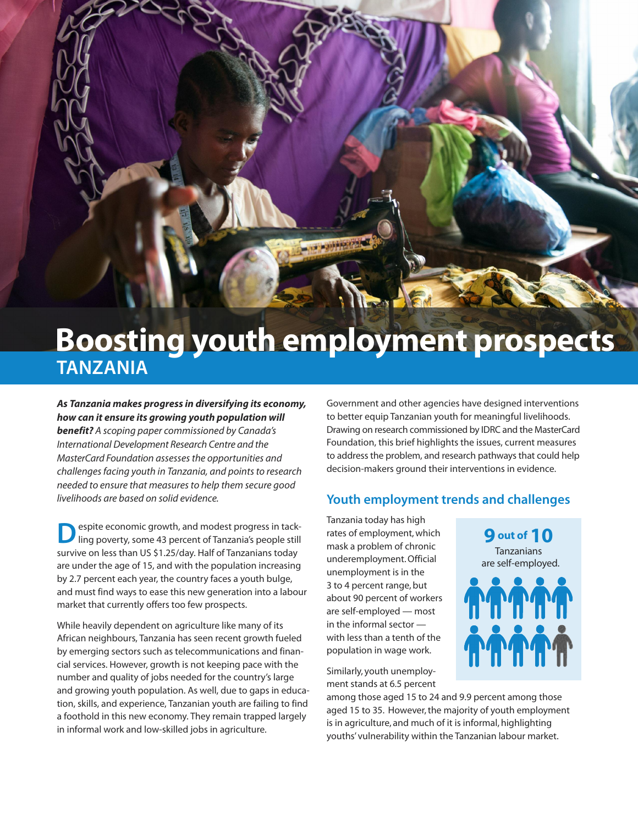# **Boosting youth employment prospects TANZANIA**

**STANDARD** 

*As Tanzania makes progress in diversifying its economy, how can it ensure its growing youth population will benefit? A scoping paper commissioned by Canada's International Development Research Centre and the MasterCard Foundation assessesthe opportunities and challengesfacing youth in Tanzania, and pointsto research needed to ensure that measuresto help them secure good livelihoods are based on solid evidence.*

espite economic growth, and modest progress in tackling poverty, some 43 percent of Tanzania's people still survive on less than US \$1.25/day. Half of Tanzanians today are under the age of 15, and with the population increasing by 2.7 percent each year, the country faces a youth bulge, and must find ways to ease this new generation into a labour market that currently offers too few prospects.

While heavily dependent on agriculture like many of its African neighbours, Tanzania has seen recent growth fueled by emerging sectors such as telecommunications and financial services. However, growth is not keeping pace with the number and quality of jobs needed for the country's large and growing youth population. As well, due to gaps in education, skills, and experience, Tanzanian youth are failing to find a foothold in this new economy. They remain trapped largely in informal work and low-skilled jobs in agriculture.

Government and other agencies have designed interventions to better equip Tanzanian youth for meaningful livelihoods. Drawing on research commissioned by IDRC and the MasterCard Foundation, this brief highlights the issues, current measures to address the problem, and research pathways that could help decision-makers ground their interventions in evidence.

#### **Youth employment trends and challenges**

Tanzania today has high rates of employment, which mask a problem of chronic underemployment.Official unemployment is in the 3 to 4 percent range, but about 90 percent of workers are self-employed — most in the informal sector with less than a tenth of the population in wage work.

Similarly, youth unemployment stands at 6.5 percent

among those aged 15 to 24 and 9.9 percent among those aged 15 to 35. However, the majority of youth employment is in agriculture, and much of it is informal, highlighting youths' vulnerability within the Tanzanian labour market.

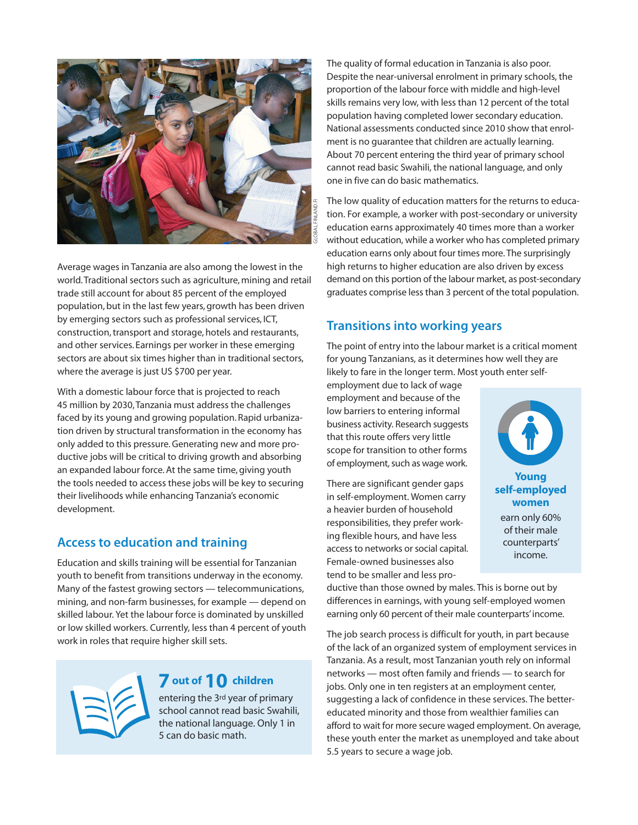

Average wages in Tanzania are also among the lowest in the world.Traditional sectors such as agriculture, mining and retail trade still account for about 85 percent of the employed population, but in the last few years, growth has been driven by emerging sectors such as professional services, ICT, construction, transport and storage, hotels and restaurants, and other services. Earnings per worker in these emerging sectors are about six times higher than in traditional sectors, where the average is just US \$700 per year.

With a domestic labour force that is projected to reach 45 million by 2030,Tanzania must address the challenges faced by its young and growing population. Rapid urbanization driven by structural transformation in the economy has only added to this pressure.Generating new and more productive jobs will be critical to driving growth and absorbing an expanded labour force.At the same time, giving youth the tools needed to access these jobs will be key to securing their livelihoods while enhancing Tanzania's economic development.

#### **Access to education and training**

Education and skills training will be essential for Tanzanian youth to benefit from transitions underway in the economy. Many of the fastest growing sectors — telecommunications, mining, and non-farm businesses, for example — depend on skilled labour. Yet the labour force is dominated by unskilled or low skilled workers. Currently, less than 4 percent of youth work in roles that require higher skill sets.



# **7 out of10 children**

entering the 3rd year of primary school cannot read basic Swahili, the national language. Only 1 in 5 can do basic math.

The quality of formal education in Tanzania is also poor. Despite the near-universal enrolment in primary schools, the proportion of the labour force with middle and high-level skills remains very low, with less than 12 percent of the total population having completed lower secondary education. National assessments conducted since 2010 show that enrolment is no guarantee that children are actually learning. About 70 percent entering the third year of primary school cannot read basic Swahili, the national language, and only one in five can do basic mathematics.

The low quality of education matters for the returns to education. For example, a worker with post-secondary or university education earns approximately 40 times more than a worker without education, while a worker who has completed primary education earns only about four times more. The surprisingly high returns to higher education are also driven by excess demand on this portion of the labour market, as post-secondary graduates comprise less than 3 percent of the total population.

# **Transitions into working years**

The point of entry into the labour market is a critical moment for young Tanzanians, as it determines how well they are likely to fare in the longer term. Most youth enter self-

employment due to lack of wage employment and because of the low barriers to entering informal business activity. Research suggests that this route offers very little scope for transition to other forms of employment, such as wage work.

There are significant gender gaps in self-employment. Women carry a heavier burden of household responsibilities, they prefer working flexible hours, and have less access to networks or social capital. Female-owned businesses also tend to be smaller and less pro-



ductive than those owned by males. This is borne out by differences in earnings, with young self-employed women earning only 60 percent of their male counterparts'income.

The job search process is difficult for youth, in part because of the lack of an organized system of employment services in Tanzania. As a result, most Tanzanian youth rely on informal networks — most often family and friends — to search for jobs. Only one in ten registers at an employment center, suggesting a lack of confidence in these services. The bettereducated minority and those from wealthier families can afford to wait for more secure waged employment. On average, these youth enter the market as unemployed and take about 5.5 years to secure a wage job.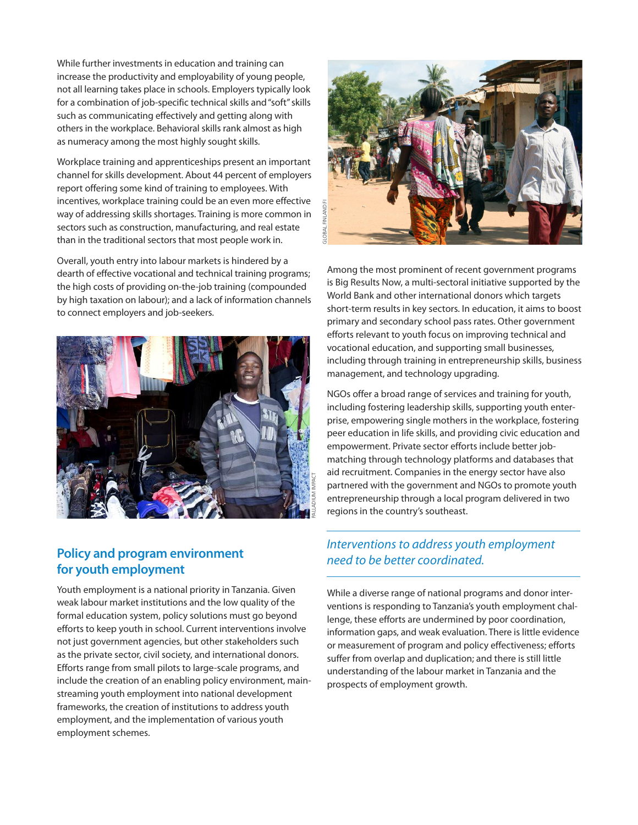While further investments in education and training can increase the productivity and employability of young people, not all learning takes place in schools. Employers typically look for a combination of job-specific technical skills and"soft"skills such as communicating effectively and getting along with others in the workplace. Behavioral skills rank almost as high as numeracy among the most highly sought skills.

Workplace training and apprenticeships present an important channel for skills development. About 44 percent of employers report offering some kind of training to employees. With incentives, workplace training could be an even more effective way of addressing skills shortages. Training is more common in sectors such as construction, manufacturing, and real estate than in the traditional sectors that most people work in.

Overall, youth entry into labour markets is hindered by a dearth of effective vocational and technical training programs; the high costs of providing on-the-job training (compounded by high taxation on labour); and a lack of information channels to connect employers and job-seekers.



# **Policy and program environment for youth employment**

Youth employment is a national priority in Tanzania. Given weak labour market institutions and the low quality of the formal education system, policy solutions must go beyond efforts to keep youth in school. Current interventions involve not just government agencies, but other stakeholders such as the private sector, civil society, and international donors. Efforts range from small pilots to large-scale programs, and include the creation of an enabling policy environment, mainstreaming youth employment into national development frameworks, the creation of institutions to address youth employment, and the implementation of various youth employment schemes.



Among the most prominent of recent government programs is Big Results Now, a multi-sectoral initiative supported by the World Bank and other international donors which targets short-term results in key sectors. In education, it aims to boost primary and secondary school pass rates. Other government efforts relevant to youth focus on improving technical and vocational education, and supporting small businesses, including through training in entrepreneurship skills, business management, and technology upgrading.

NGOs offer a broad range of services and training for youth, including fostering leadership skills, supporting youth enterprise, empowering single mothers in the workplace, fostering peer education in life skills, and providing civic education and empowerment. Private sector efforts include better jobmatching through technology platforms and databases that aid recruitment. Companies in the energy sector have also partnered with the government and NGOs to promote youth entrepreneurship through a local program delivered in two regions in the country's southeast.

# *Interventions to address youth employment need to be better coordinated.*

While a diverse range of national programs and donor interventions is responding to Tanzania's youth employment challenge, these efforts are undermined by poor coordination, information gaps, and weak evaluation. There is little evidence or measurement of program and policy effectiveness; efforts suffer from overlap and duplication; and there is still little understanding of the labour market in Tanzania and the prospects of employment growth.